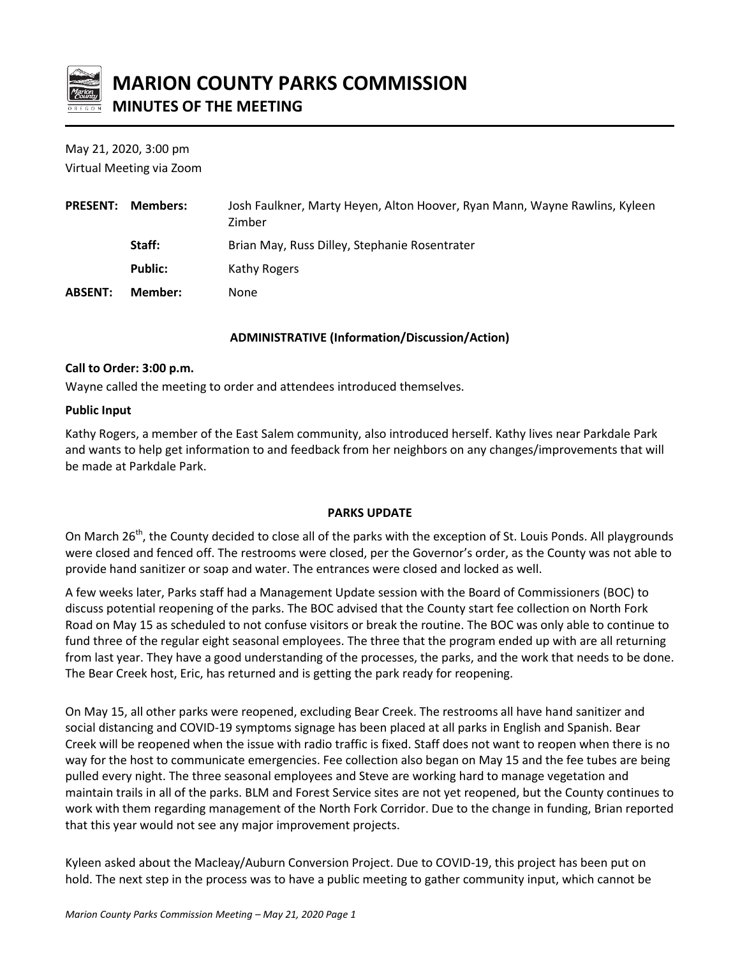

# **MARION COUNTY PARKS COMMISSION MINUTES OF THE MEETING**

May 21, 2020, 3:00 pm Virtual Meeting via Zoom

| <b>PRESENT:</b> | Members:       | Josh Faulkner, Marty Heyen, Alton Hoover, Ryan Mann, Wayne Rawlins, Kyleen<br>Zimber |
|-----------------|----------------|--------------------------------------------------------------------------------------|
|                 | Staff:         | Brian May, Russ Dilley, Stephanie Rosentrater                                        |
|                 | <b>Public:</b> | Kathy Rogers                                                                         |
| <b>ABSENT:</b>  | Member:        | None                                                                                 |

## **ADMINISTRATIVE (Information/Discussion/Action)**

## **Call to Order: 3:00 p.m.**

Wayne called the meeting to order and attendees introduced themselves.

## **Public Input**

Kathy Rogers, a member of the East Salem community, also introduced herself. Kathy lives near Parkdale Park and wants to help get information to and feedback from her neighbors on any changes/improvements that will be made at Parkdale Park.

# **PARKS UPDATE**

On March 26<sup>th</sup>, the County decided to close all of the parks with the exception of St. Louis Ponds. All playgrounds were closed and fenced off. The restrooms were closed, per the Governor's order, as the County was not able to provide hand sanitizer or soap and water. The entrances were closed and locked as well.

A few weeks later, Parks staff had a Management Update session with the Board of Commissioners (BOC) to discuss potential reopening of the parks. The BOC advised that the County start fee collection on North Fork Road on May 15 as scheduled to not confuse visitors or break the routine. The BOC was only able to continue to fund three of the regular eight seasonal employees. The three that the program ended up with are all returning from last year. They have a good understanding of the processes, the parks, and the work that needs to be done. The Bear Creek host, Eric, has returned and is getting the park ready for reopening.

On May 15, all other parks were reopened, excluding Bear Creek. The restrooms all have hand sanitizer and social distancing and COVID-19 symptoms signage has been placed at all parks in English and Spanish. Bear Creek will be reopened when the issue with radio traffic is fixed. Staff does not want to reopen when there is no way for the host to communicate emergencies. Fee collection also began on May 15 and the fee tubes are being pulled every night. The three seasonal employees and Steve are working hard to manage vegetation and maintain trails in all of the parks. BLM and Forest Service sites are not yet reopened, but the County continues to work with them regarding management of the North Fork Corridor. Due to the change in funding, Brian reported that this year would not see any major improvement projects.

Kyleen asked about the Macleay/Auburn Conversion Project. Due to COVID-19, this project has been put on hold. The next step in the process was to have a public meeting to gather community input, which cannot be